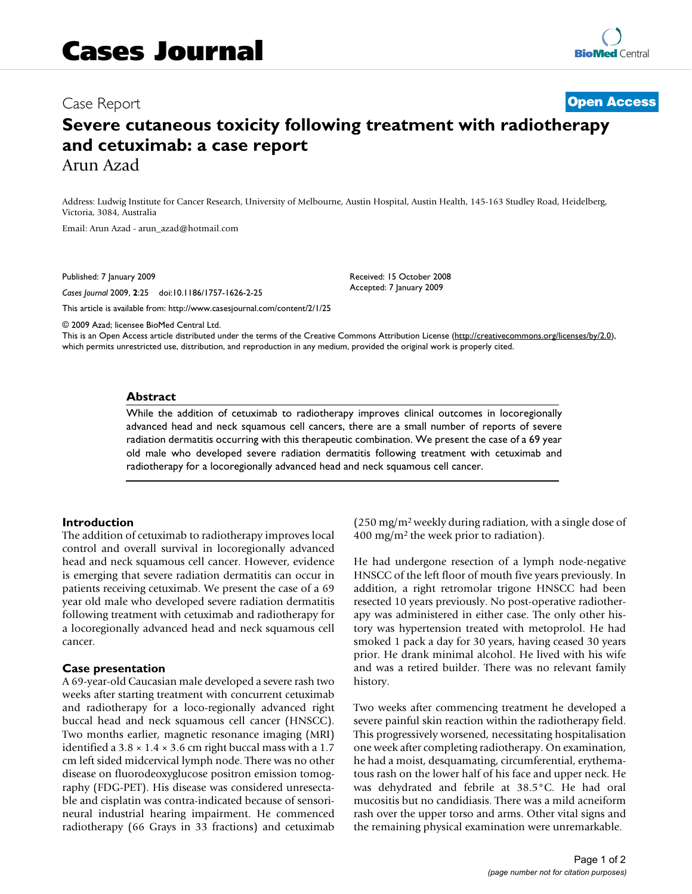# Case Report **[Open Access](http://www.biomedcentral.com/info/about/charter/)**

# **Severe cutaneous toxicity following treatment with radiotherapy and cetuximab: a case report** Arun Azad

Address: Ludwig Institute for Cancer Research, University of Melbourne, Austin Hospital, Austin Health, 145-163 Studley Road, Heidelberg, Victoria, 3084, Australia

Email: Arun Azad - arun\_azad@hotmail.com

Published: 7 January 2009

*Cases Journal* 2009, **2**:25 doi:10.1186/1757-1626-2-25

[This article is available from: http://www.casesjournal.com/content/2/1/25](http://www.casesjournal.com/content/2/1/25)

© 2009 Azad; licensee BioMed Central Ltd.

This is an Open Access article distributed under the terms of the Creative Commons Attribution License [\(http://creativecommons.org/licenses/by/2.0\)](http://creativecommons.org/licenses/by/2.0), which permits unrestricted use, distribution, and reproduction in any medium, provided the original work is properly cited.

Received: 15 October 2008 Accepted: 7 January 2009

#### **Abstract**

While the addition of cetuximab to radiotherapy improves clinical outcomes in locoregionally advanced head and neck squamous cell cancers, there are a small number of reports of severe radiation dermatitis occurring with this therapeutic combination. We present the case of a 69 year old male who developed severe radiation dermatitis following treatment with cetuximab and radiotherapy for a locoregionally advanced head and neck squamous cell cancer.

#### **Introduction**

The addition of cetuximab to radiotherapy improves local control and overall survival in locoregionally advanced head and neck squamous cell cancer. However, evidence is emerging that severe radiation dermatitis can occur in patients receiving cetuximab. We present the case of a 69 year old male who developed severe radiation dermatitis following treatment with cetuximab and radiotherapy for a locoregionally advanced head and neck squamous cell cancer.

#### **Case presentation**

A 69-year-old Caucasian male developed a severe rash two weeks after starting treatment with concurrent cetuximab and radiotherapy for a loco-regionally advanced right buccal head and neck squamous cell cancer (HNSCC). Two months earlier, magnetic resonance imaging (MRI) identified a  $3.8 \times 1.4 \times 3.6$  cm right buccal mass with a 1.7 cm left sided midcervical lymph node. There was no other disease on fluorodeoxyglucose positron emission tomography (FDG-PET). His disease was considered unresectable and cisplatin was contra-indicated because of sensorineural industrial hearing impairment. He commenced radiotherapy (66 Grays in 33 fractions) and cetuximab (250 mg/m2 weekly during radiation, with a single dose of 400 mg/m2 the week prior to radiation).

He had undergone resection of a lymph node-negative HNSCC of the left floor of mouth five years previously. In addition, a right retromolar trigone HNSCC had been resected 10 years previously. No post-operative radiotherapy was administered in either case. The only other history was hypertension treated with metoprolol. He had smoked 1 pack a day for 30 years, having ceased 30 years prior. He drank minimal alcohol. He lived with his wife and was a retired builder. There was no relevant family history.

Two weeks after commencing treatment he developed a severe painful skin reaction within the radiotherapy field. This progressively worsened, necessitating hospitalisation one week after completing radiotherapy. On examination, he had a moist, desquamating, circumferential, erythematous rash on the lower half of his face and upper neck. He was dehydrated and febrile at 38.5°C. He had oral mucositis but no candidiasis. There was a mild acneiform rash over the upper torso and arms. Other vital signs and the remaining physical examination were unremarkable.